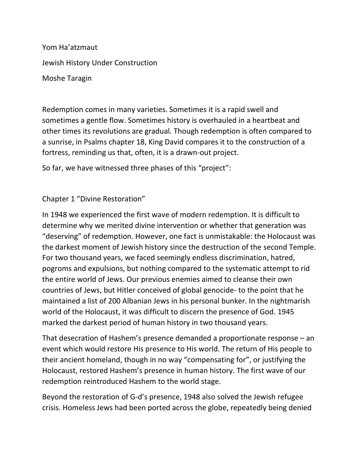Yom Ha'atzmaut Jewish History Under Construction Moshe Taragin

Redemption comes in many varieties. Sometimes it is a rapid swell and sometimes a gentle flow. Sometimes history is overhauled in a heartbeat and other times its revolutions are gradual. Though redemption is often compared to a sunrise, in Psalms chapter 18, King David compares it to the construction of a fortress, reminding us that, often, it is a drawn-out project.

So far, we have witnessed three phases of this "project":

## Chapter 1 "Divine Restoration"

In 1948 we experienced the first wave of modern redemption. It is difficult to determine why we merited divine intervention or whether that generation was "deserving" of redemption. However, one fact is unmistakable: the Holocaust was the darkest moment of Jewish history since the destruction of the second Temple. For two thousand years, we faced seemingly endless discrimination, hatred, pogroms and expulsions, but nothing compared to the systematic attempt to rid the entire world of Jews. Our previous enemies aimed to cleanse their own countries of Jews, but Hitler conceived of global genocide- to the point that he maintained a list of 200 Albanian Jews in his personal bunker. In the nightmarish world of the Holocaust, it was difficult to discern the presence of God. 1945 marked the darkest period of human history in two thousand years.

That desecration of Hashem's presence demanded a proportionate response – an event which would restore His presence to His world. The return of His people to their ancient homeland, though in no way "compensating for", or justifying the Holocaust, restored Hashem's presence in human history. The first wave of our redemption reintroduced Hashem to the world stage.

Beyond the restoration of G-d's presence, 1948 also solved the Jewish refugee crisis. Homeless Jews had been ported across the globe, repeatedly being denied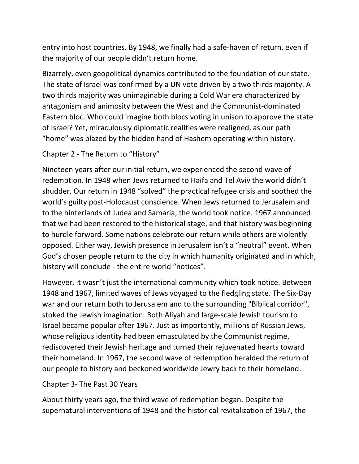entry into host countries. By 1948, we finally had a safe-haven of return, even if the majority of our people didn't return home.

Bizarrely, even geopolitical dynamics contributed to the foundation of our state. The state of Israel was confirmed by a UN vote driven by a two thirds majority. A two thirds majority was unimaginable during a Cold War era characterized by antagonism and animosity between the West and the Communist-dominated Eastern bloc. Who could imagine both blocs voting in unison to approve the state of Israel? Yet, miraculously diplomatic realities were realigned, as our path "home" was blazed by the hidden hand of Hashem operating within history.

## Chapter 2 - The Return to "History"

Nineteen years after our initial return, we experienced the second wave of redemption. In 1948 when Jews returned to Haifa and Tel Aviv the world didn't shudder. Our return in 1948 "solved" the practical refugee crisis and soothed the world's guilty post-Holocaust conscience. When Jews returned to Jerusalem and to the hinterlands of Judea and Samaria, the world took notice. 1967 announced that we had been restored to the historical stage, and that history was beginning to hurdle forward. Some nations celebrate our return while others are violently opposed. Either way, Jewish presence in Jerusalem isn't a "neutral" event. When God's chosen people return to the city in which humanity originated and in which, history will conclude - the entire world "notices".

However, it wasn't just the international community which took notice. Between 1948 and 1967, limited waves of Jews voyaged to the fledgling state. The Six-Day war and our return both to Jerusalem and to the surrounding "Biblical corridor", stoked the Jewish imagination. Both Aliyah and large-scale Jewish tourism to Israel became popular after 1967. Just as importantly, millions of Russian Jews, whose religious identity had been emasculated by the Communist regime, rediscovered their Jewish heritage and turned their rejuvenated hearts toward their homeland. In 1967, the second wave of redemption heralded the return of our people to history and beckoned worldwide Jewry back to their homeland.

## Chapter 3- The Past 30 Years

About thirty years ago, the third wave of redemption began. Despite the supernatural interventions of 1948 and the historical revitalization of 1967, the